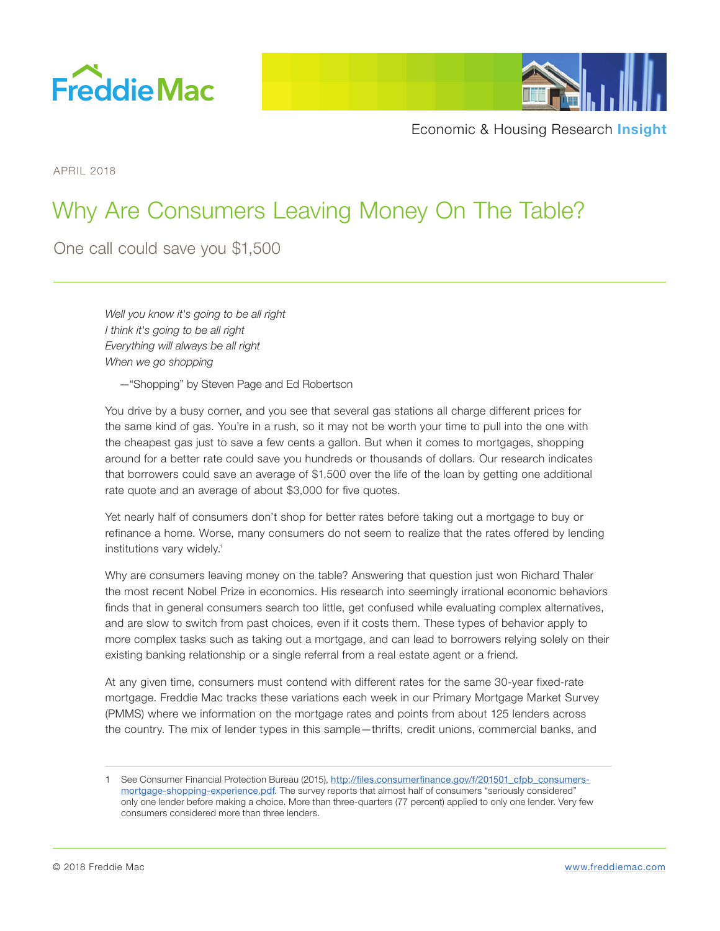



APRIL 2018

# Why Are Consumers Leaving Money On The Table?

One call could save you \$1,500

*Well you know it's going to be all right I think it's going to be all right Everything will always be all right When we go shopping* 

—"Shopping" by Steven Page and Ed Robertson

You drive by a busy corner, and you see that several gas stations all charge different prices for the same kind of gas. You're in a rush, so it may not be worth your time to pull into the one with the cheapest gas just to save a few cents a gallon. But when it comes to mortgages, shopping around for a better rate could save you hundreds or thousands of dollars. Our research indicates that borrowers could save an average of \$1,500 over the life of the loan by getting one additional rate quote and an average of about \$3,000 for five quotes.

Yet nearly half of consumers don't shop for better rates before taking out a mortgage to buy or refinance a home. Worse, many consumers do not seem to realize that the rates offered by lending institutions vary widely.<sup>1</sup>

Why are consumers leaving money on the table? Answering that question just won Richard Thaler the most recent Nobel Prize in economics. His research into seemingly irrational economic behaviors finds that in general consumers search too little, get confused while evaluating complex alternatives, and are slow to switch from past choices, even if it costs them. These types of behavior apply to more complex tasks such as taking out a mortgage, and can lead to borrowers relying solely on their existing banking relationship or a single referral from a real estate agent or a friend.

At any given time, consumers must contend with different rates for the same 30-year fixed-rate mortgage. Freddie Mac tracks these variations each week in our Primary Mortgage Market Survey (PMMS) where we information on the mortgage rates and points from about 125 lenders across the country. The mix of lender types in this sample—thrifts, credit unions, commercial banks, and

<sup>1</sup> See Consumer Financial Protection Bureau (2015), [http://files.consumerfinance.gov/f/201501\\_cfpb\\_consumers](http://files.consumerfinance.gov/f/201501_cfpb_consumers-mortgage-shopping-experience.pdf)[mortgage-shopping-experience.pdf](http://files.consumerfinance.gov/f/201501_cfpb_consumers-mortgage-shopping-experience.pdf). The survey reports that almost half of consumers "seriously considered" only one lender before making a choice. More than three-quarters (77 percent) applied to only one lender. Very few consumers considered more than three lenders.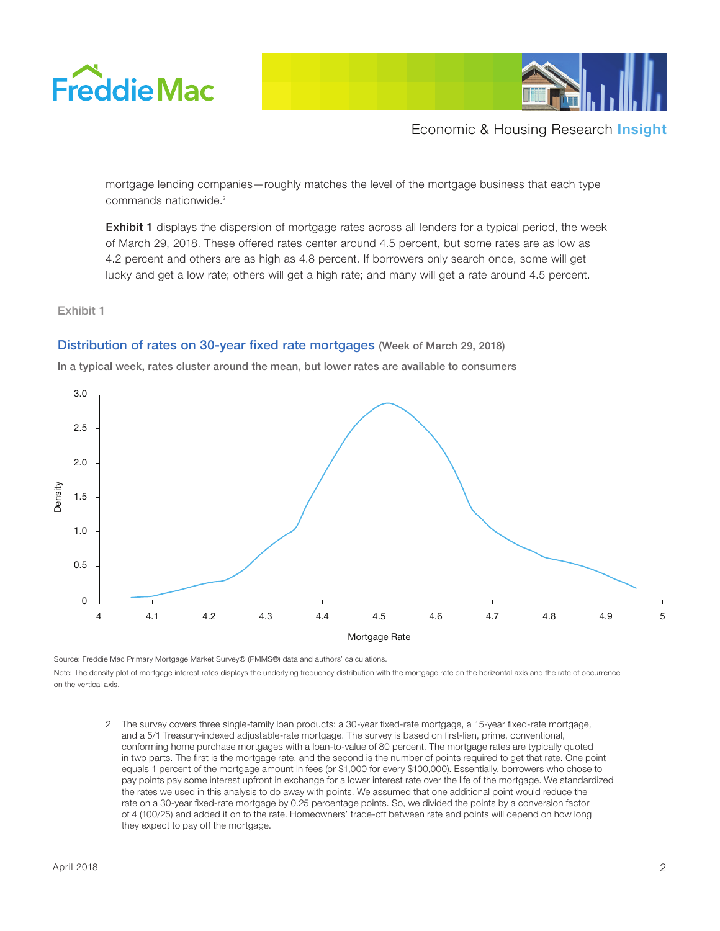



mortgage lending companies—roughly matches the level of the mortgage business that each type commands nationwide.<sup>2</sup>

Exhibit 1 displays the dispersion of mortgage rates across all lenders for a typical period, the week of March 29, 2018. These offered rates center around 4.5 percent, but some rates are as low as 4.2 percent and others are as high as 4.8 percent. If borrowers only search once, some will get lucky and get a low rate; others will get a high rate; and many will get a rate around 4.5 percent.

#### Exhibit 1

## Distribution of rates on 30-year fixed rate mortgages (Week of March 29, 2018)

In a typical week, rates cluster around the mean, but lower rates are available to consumers



Source: Freddie Mac Primary Mortgage Market Survey® (PMMS®) data and authors' calculations. Note: The density plot of mortgage interest rates displays the underlying frequency distribution with the mortgage rate on the horizontal axis and the rate of occurrence on the vertical axis.

2 The survey covers three single-family loan products: a 30-year fixed-rate mortgage, a 15-year fixed-rate mortgage, and a 5/1 Treasury-indexed adjustable-rate mortgage. The survey is based on first-lien, prime, conventional, conforming home purchase mortgages with a loan-to-value of 80 percent. The mortgage rates are typically quoted in two parts. The first is the mortgage rate, and the second is the number of points required to get that rate. One point equals 1 percent of the mortgage amount in fees (or \$1,000 for every \$100,000). Essentially, borrowers who chose to pay points pay some interest upfront in exchange for a lower interest rate over the life of the mortgage. We standardized the rates we used in this analysis to do away with points. We assumed that one additional point would reduce the rate on a 30-year fixed-rate mortgage by 0.25 percentage points. So, we divided the points by a conversion factor of 4 (100/25) and added it on to the rate. Homeowners' trade-off between rate and points will depend on how long they expect to pay off the mortgage.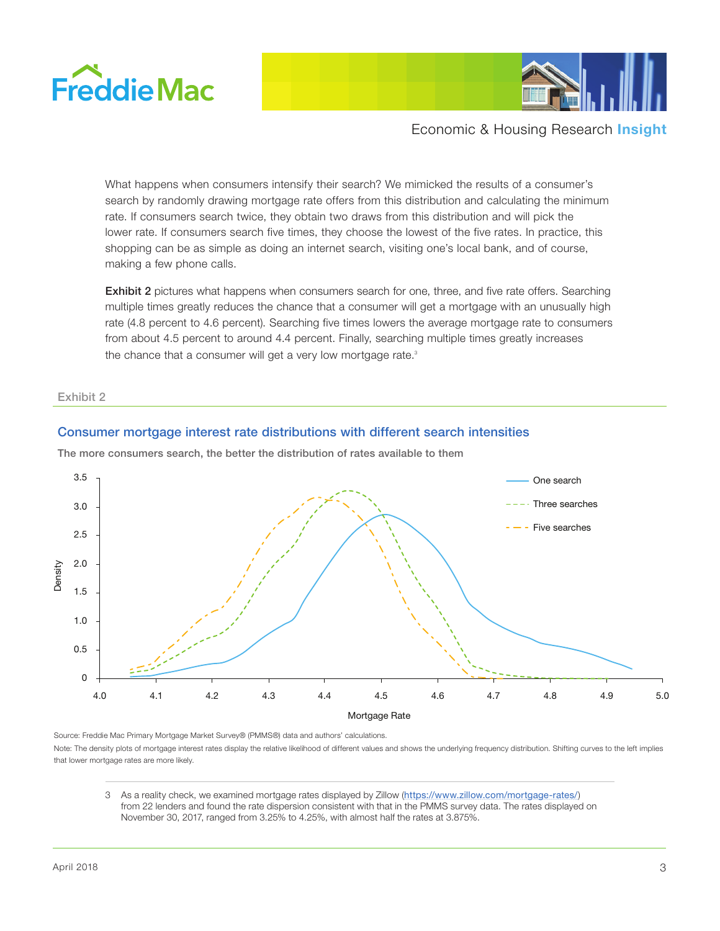



What happens when consumers intensify their search? We mimicked the results of a consumer's search by randomly drawing mortgage rate offers from this distribution and calculating the minimum rate. If consumers search twice, they obtain two draws from this distribution and will pick the lower rate. If consumers search five times, they choose the lowest of the five rates. In practice, this shopping can be as simple as doing an internet search, visiting one's local bank, and of course, making a few phone calls.

Exhibit 2 pictures what happens when consumers search for one, three, and five rate offers. Searching multiple times greatly reduces the chance that a consumer will get a mortgage with an unusually high rate (4.8 percent to 4.6 percent). Searching five times lowers the average mortgage rate to consumers from about 4.5 percent to around 4.4 percent. Finally, searching multiple times greatly increases the chance that a consumer will get a very low mortgage rate.<sup>3</sup>

#### Exhibit 2

## Consumer mortgage interest rate distributions with different search intensities



The more consumers search, the better the distribution of rates available to them

Source: Freddie Mac Primary Mortgage Market Survey® (PMMS®) data and authors' calculations. Note: The density plots of mortgage interest rates display the relative likelihood of different values and shows the underlying frequency distribution. Shifting curves to the left implies that lower mortgage rates are more likely.

3 As a reality check, we examined mortgage rates displayed by Zillow (<https://www.zillow.com/mortgage-rates/>) from 22 lenders and found the rate dispersion consistent with that in the PMMS survey data. The rates displayed on November 30, 2017, ranged from 3.25% to 4.25%, with almost half the rates at 3.875%.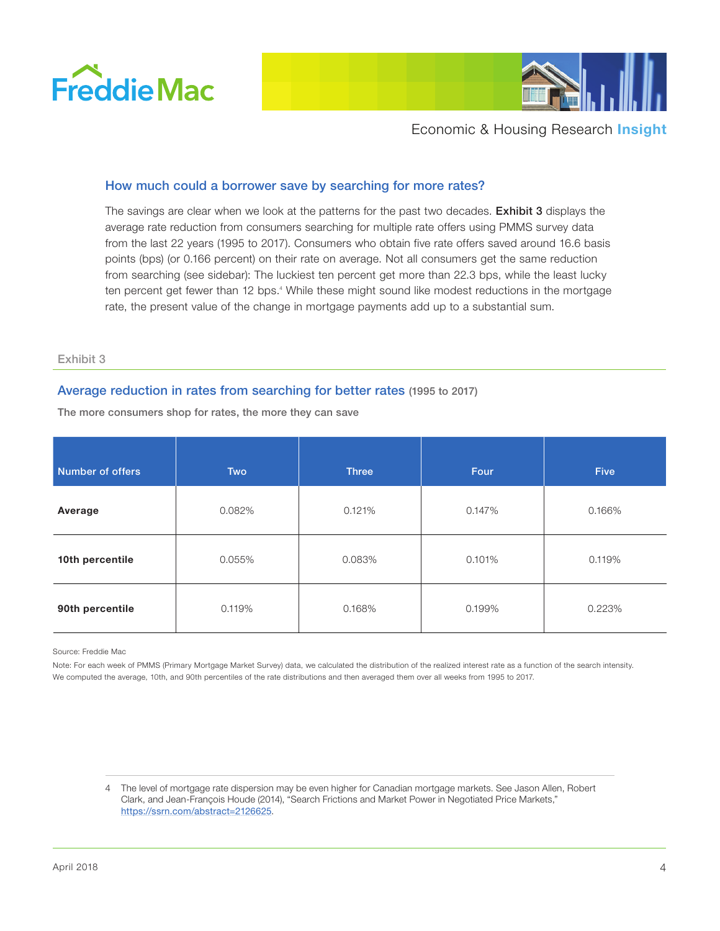



# How much could a borrower save by searching for more rates?

The savings are clear when we look at the patterns for the past two decades. Exhibit 3 displays the average rate reduction from consumers searching for multiple rate offers using PMMS survey data from the last 22 years (1995 to 2017). Consumers who obtain five rate offers saved around 16.6 basis points (bps) (or 0.166 percent) on their rate on average. Not all consumers get the same reduction from searching (see sidebar): The luckiest ten percent get more than 22.3 bps, while the least lucky ten percent get fewer than 12 bps.<sup>4</sup> While these might sound like modest reductions in the mortgage rate, the present value of the change in mortgage payments add up to a substantial sum.

#### Exhibit 3

## Average reduction in rates from searching for better rates (1995 to 2017)

The more consumers shop for rates, the more they can save

| Number of offers | <b>Two</b> | <b>Three</b> | Four   | <b>Five</b> |
|------------------|------------|--------------|--------|-------------|
| Average          | 0.082%     | 0.121%       | 0.147% | 0.166%      |
| 10th percentile  | 0.055%     | 0.083%       | 0.101% | 0.119%      |
| 90th percentile  | 0.119%     | 0.168%       | 0.199% | 0.223%      |

Source: Freddie Mac

Note: For each week of PMMS (Primary Mortgage Market Survey) data, we calculated the distribution of the realized interest rate as a function of the search intensity. We computed the average, 10th, and 90th percentiles of the rate distributions and then averaged them over all weeks from 1995 to 2017.

4 The level of mortgage rate dispersion may be even higher for Canadian mortgage markets. See Jason Allen, Robert Clark, and Jean-François Houde (2014), "Search Frictions and Market Power in Negotiated Price Markets," <https://ssrn.com/abstract=2126625>.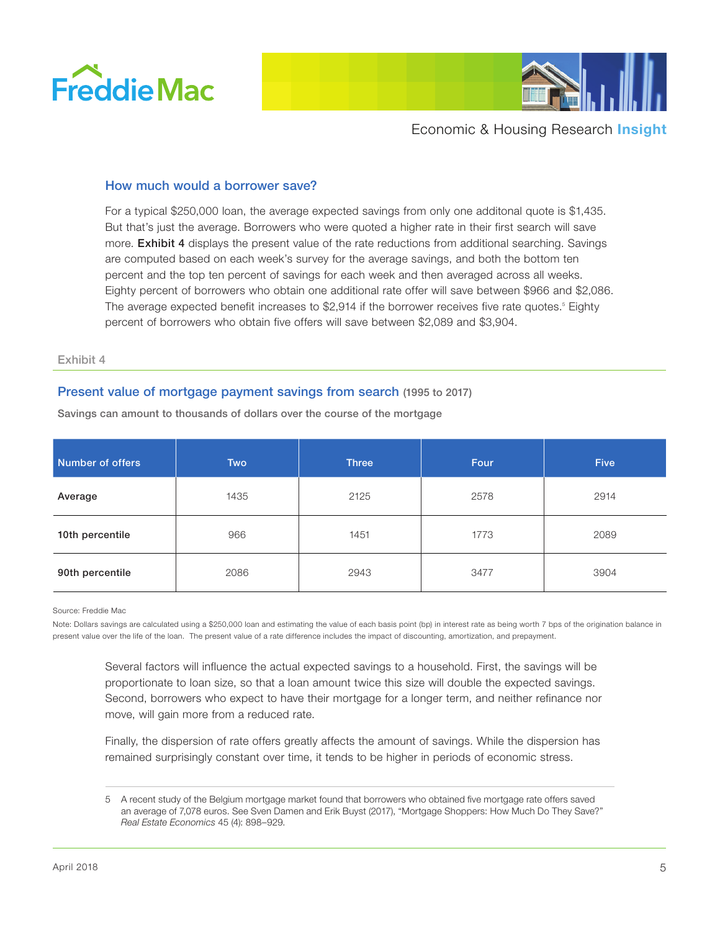



## How much would a borrower save?

For a typical \$250,000 loan, the average expected savings from only one additonal quote is \$1,435. But that's just the average. Borrowers who were quoted a higher rate in their first search will save more. **Exhibit 4** displays the present value of the rate reductions from additional searching. Savings are computed based on each week's survey for the average savings, and both the bottom ten percent and the top ten percent of savings for each week and then averaged across all weeks. Eighty percent of borrowers who obtain one additional rate offer will save between \$966 and \$2,086. The average expected benefit increases to \$2,914 if the borrower receives five rate quotes.<sup>5</sup> Eighty percent of borrowers who obtain five offers will save between \$2,089 and \$3,904.

#### Exhibit 4

## Present value of mortgage payment savings from search (1995 to 2017)

| Number of offers | Two  | <b>Three</b> | Four | <b>Five</b> |
|------------------|------|--------------|------|-------------|
| Average          | 1435 | 2125         | 2578 | 2914        |
| 10th percentile  | 966  | 1451         | 1773 | 2089        |
| 90th percentile  | 2086 | 2943         | 3477 | 3904        |

Savings can amount to thousands of dollars over the course of the mortgage

Source: Freddie Mac

Note: Dollars savings are calculated using a \$250,000 loan and estimating the value of each basis point (bp) in interest rate as being worth 7 bps of the origination balance in present value over the life of the loan. The present value of a rate difference includes the impact of discounting, amortization, and prepayment.

Several factors will influence the actual expected savings to a household. First, the savings will be proportionate to loan size, so that a loan amount twice this size will double the expected savings. Second, borrowers who expect to have their mortgage for a longer term, and neither refinance nor move, will gain more from a reduced rate.

Finally, the dispersion of rate offers greatly affects the amount of savings. While the dispersion has remained surprisingly constant over time, it tends to be higher in periods of economic stress.

<sup>5</sup> A recent study of the Belgium mortgage market found that borrowers who obtained five mortgage rate offers saved an average of 7,078 euros. See Sven Damen and Erik Buyst (2017), "Mortgage Shoppers: How Much Do They Save?" *Real Estate Economics* 45 (4): 898–929.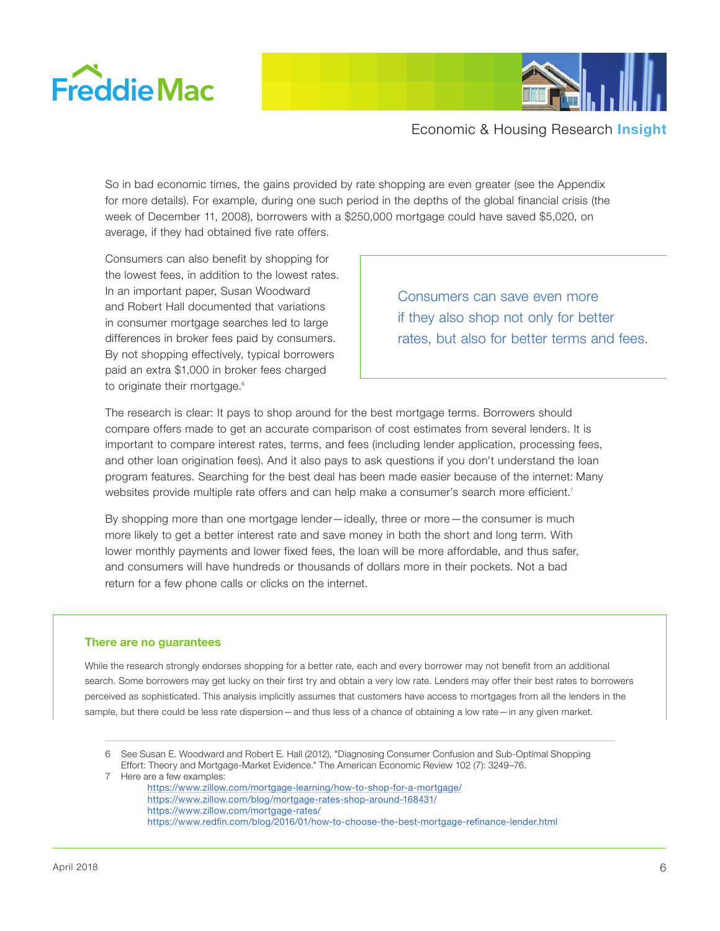



So in bad economic times, the gains provided by rate shopping are even greater (see the Appendix for more details). For example, during one such period in the depths of the global financial crisis (the week of December 11, 2008), borrowers with a \$250,000 mortgage could have saved \$5,020, on average, if they had obtained five rate offers.

Consumers can also benefit by shopping for the lowest fees, in addition to the lowest rates. In an important paper, Susan Woodward and Robert Hall documented that variations in consumer mortgage searches led to large differences in broker fees paid by consumers. By not shopping effectively, typical borrowers paid an extra \$1,000 in broker fees charged to originate their mortgage.<sup>6</sup>

Consumers can save even more if they also shop not only for better rates, but also for better terms and fees.

The research is clear: It pays to shop around for the best mortgage terms. Borrowers should compare offers made to get an accurate comparison of cost estimates from several lenders. It is important to compare interest rates, terms, and fees (including lender application, processing fees, and other loan origination fees). And it also pays to ask questions if you don't understand the loan program features. Searching for the best deal has been made easier because of the internet: Many websites provide multiple rate offers and can help make a consumer's search more efficient.<sup>7</sup>

By shopping more than one mortgage lender—ideally, three or more—the consumer is much more likely to get a better interest rate and save money in both the short and long term. With lower monthly payments and lower fixed fees, the loan will be more affordable, and thus safer, and consumers will have hundreds or thousands of dollars more in their pockets. Not a bad return for a few phone calls or clicks on the internet.

#### **There are no guarantees**

While the research strongly endorses shopping for a better rate, each and every borrower may not benefit from an additional search. Some borrowers may get lucky on their first try and obtain a very low rate. Lenders may offer their best rates to borrowers perceived as sophisticated. This analysis implicitly assumes that customers have access to mortgages from all the lenders in the sample, but there could be less rate dispersion—and thus less of a chance of obtaining a low rate—in any given market.

7 Here are a few examples:

<sup>6</sup> See Susan E. Woodward and Robert E. Hall (2012), "Diagnosing Consumer Confusion and Sub-Optimal Shopping Effort: Theory and Mortgage-Market Evidence." The American Economic Review 102 (7): 3249–76.

<https://www.zillow.com/mortgage-learning/how-to-shop-for-a-mortgage/> <https://www.zillow.com/blog/mortgage-rates-shop-around-168431/> <https://www.zillow.com/mortgage-rates/> <https://www.redfin.com/blog/2016/01/how-to-choose-the-best-mortgage-refinance-lender.html>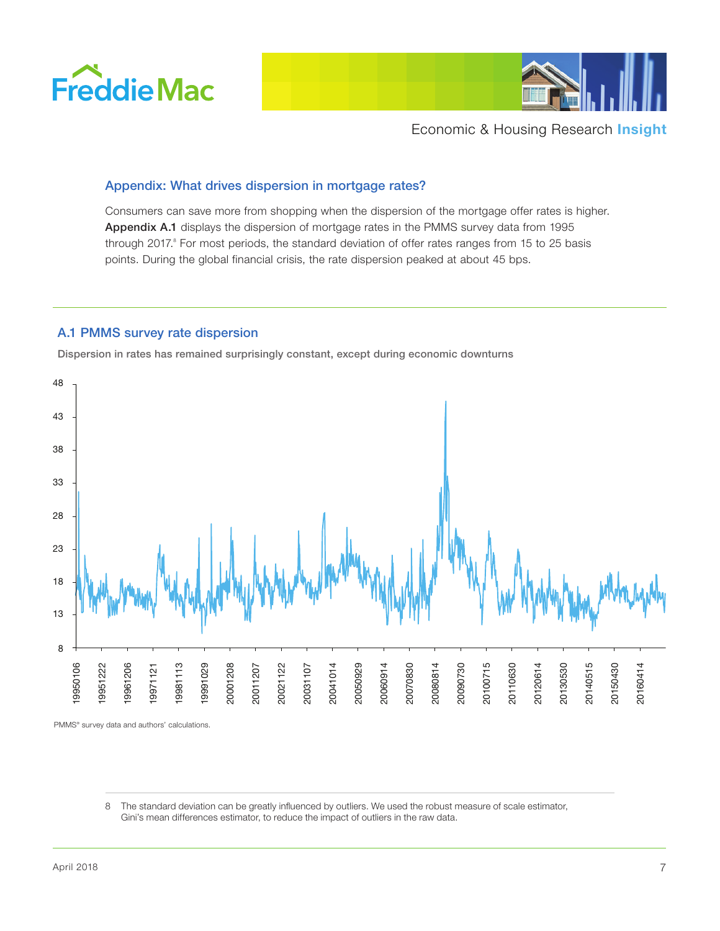



# Appendix: What drives dispersion in mortgage rates?

Consumers can save more from shopping when the dispersion of the mortgage offer rates is higher. Appendix A.1 displays the dispersion of mortgage rates in the PMMS survey data from 1995 through 2017.<sup>8</sup> For most periods, the standard deviation of offer rates ranges from 15 to 25 basis points. During the global financial crisis, the rate dispersion peaked at about 45 bps.

# A.1 PMMS survey rate dispersion

Dispersion in rates has remained surprisingly constant, except during economic downturns



PMMS® survey data and authors' calculations.

 The standard deviation can be greatly influenced by outliers. We used the robust measure of scale estimator, Gini's mean differences estimator, to reduce the impact of outliers in the raw data.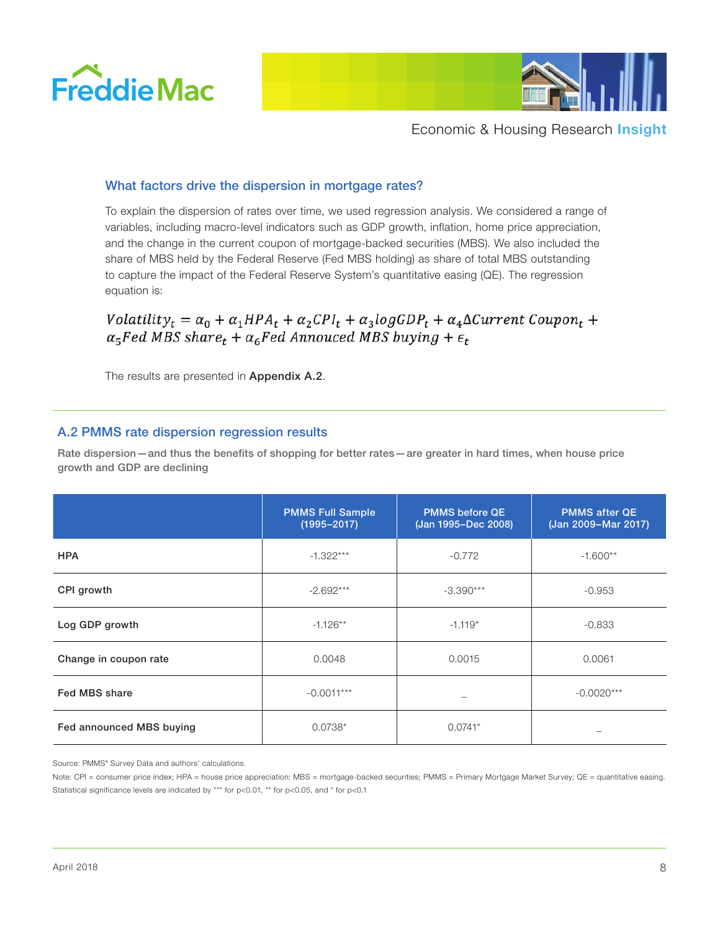



# What factors drive the dispersion in mortgage rates?

To explain the dispersion of rates over time, we used regression analysis. We considered a range of variables, including macro-level indicators such as GDP growth, inflation, home price appreciation, and the change in the current coupon of mortgage-backed securities (MBS). We also included the share of MBS held by the Federal Reserve (Fed MBS holding) as share of total MBS outstanding to capture the impact of the Federal Reserve System's quantitative easing (QE). The regression equation is:

# $Volatility_t = \alpha_0 + \alpha_1 HPA_t + \alpha_2 CPI_t + \alpha_3 log GDP_t + \alpha_4 \Delta Current\,Coupon_t +$  $\alpha_5$ Fed MBS share<sub>t</sub> +  $\alpha_6$ Fed Annouced MBS buying +  $\epsilon_t$

The results are presented in Appendix A.2.

## A.2 PMMS rate dispersion regression results

Rate dispersion—and thus the benefits of shopping for better rates—are greater in hard times, when house price growth and GDP are declining

|                          | <b>PMMS Full Sample</b><br>$(1995 - 2017)$ | <b>PMMS before QE</b><br>(Jan 1995-Dec 2008) | <b>PMMS after QE</b><br>(Jan 2009-Mar 2017) |
|--------------------------|--------------------------------------------|----------------------------------------------|---------------------------------------------|
| <b>HPA</b>               | $-1.322***$                                | $-0.772$                                     | $-1.600**$                                  |
| CPI growth               | $-2.692***$                                | $-3.390***$                                  | $-0.953$                                    |
| Log GDP growth           | $-1.126**$                                 | $-1.119*$                                    | $-0.833$                                    |
| Change in coupon rate    | 0.0048                                     | 0.0015                                       | 0.0061                                      |
| Fed MBS share            | $-0.0011***$                               |                                              | $-0.0020***$                                |
| Fed announced MBS buying | $0.0738*$                                  | $0.0741*$                                    |                                             |

Source: PMMS® Survey Data and authors' calculations.

Note: CPI = consumer price index; HPA = house price appreciation; MBS = mortgage-backed securities; PMMS = Primary Mortgage Market Survey; QE = quantitative easing. Statistical significance levels are indicated by \*\*\* for p<0.01, \*\* for p<0.05, and \* for p<0.1